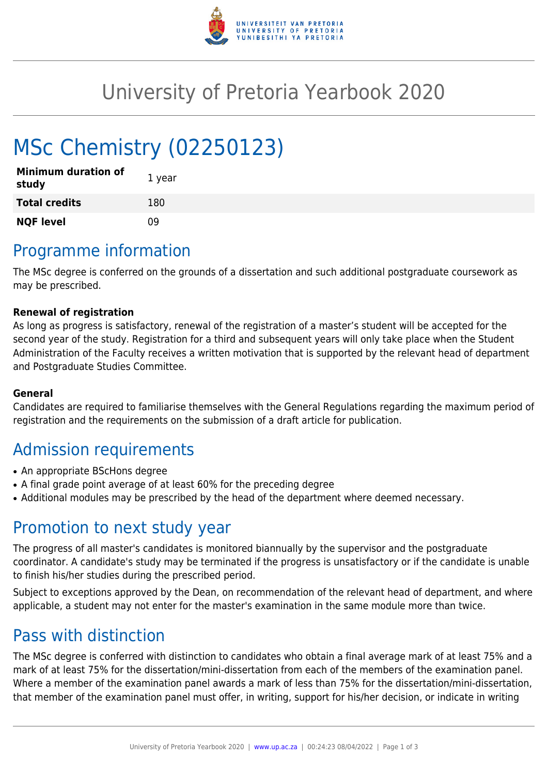

## University of Pretoria Yearbook 2020

# MSc Chemistry (02250123)

| <b>Minimum duration of</b><br>study | 1 year |
|-------------------------------------|--------|
| <b>Total credits</b>                | 180    |
| <b>NQF level</b>                    | n۹     |

### Programme information

The MSc degree is conferred on the grounds of a dissertation and such additional postgraduate coursework as may be prescribed.

#### **Renewal of registration**

As long as progress is satisfactory, renewal of the registration of a master's student will be accepted for the second year of the study. Registration for a third and subsequent years will only take place when the Student Administration of the Faculty receives a written motivation that is supported by the relevant head of department and Postgraduate Studies Committee.

#### **General**

Candidates are required to familiarise themselves with the General Regulations regarding the maximum period of registration and the requirements on the submission of a draft article for publication.

### Admission requirements

- An appropriate BScHons degree
- A final grade point average of at least 60% for the preceding degree
- Additional modules may be prescribed by the head of the department where deemed necessary.

#### Promotion to next study year

The progress of all master's candidates is monitored biannually by the supervisor and the postgraduate coordinator. A candidate's study may be terminated if the progress is unsatisfactory or if the candidate is unable to finish his/her studies during the prescribed period.

Subject to exceptions approved by the Dean, on recommendation of the relevant head of department, and where applicable, a student may not enter for the master's examination in the same module more than twice.

#### Pass with distinction

The MSc degree is conferred with distinction to candidates who obtain a final average mark of at least 75% and a mark of at least 75% for the dissertation/mini-dissertation from each of the members of the examination panel. Where a member of the examination panel awards a mark of less than 75% for the dissertation/mini-dissertation, that member of the examination panel must offer, in writing, support for his/her decision, or indicate in writing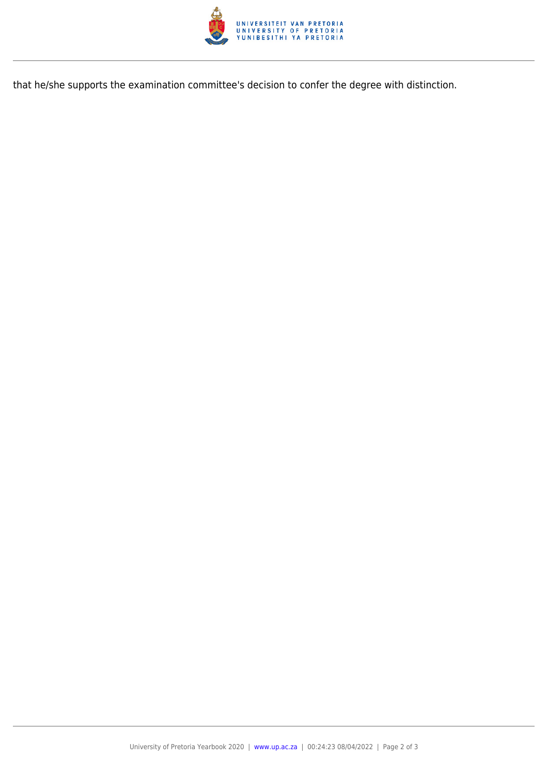

that he/she supports the examination committee's decision to confer the degree with distinction.